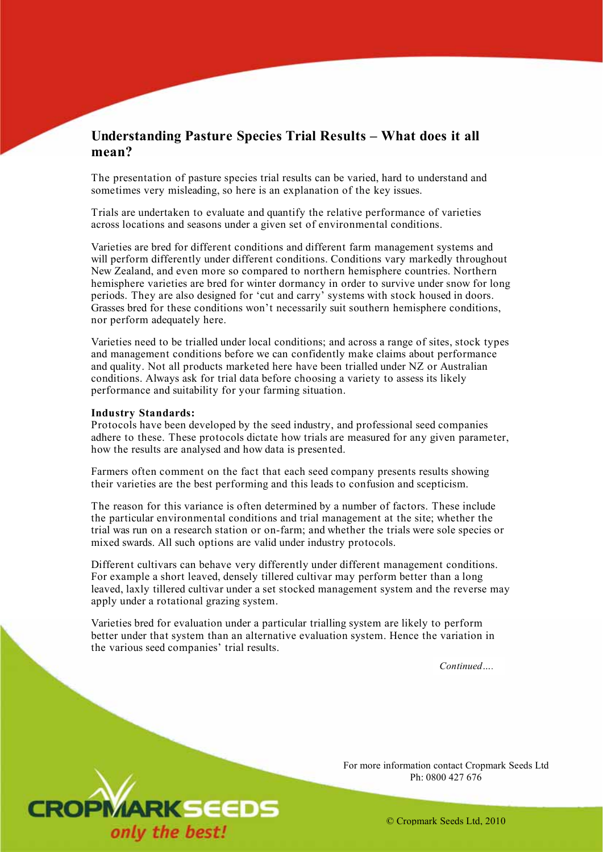# **Understanding Pasture Species Trial Results – What does it all mean?**

The presentation of pasture species trial results can be varied, hard to understand and sometimes very misleading, so here is an explanation of the key issues.

Trials are undertaken to evaluate and quantify the relative performance of varieties across locations and seasons under a given set of environmental conditions.

Varieties are bred for different conditions and different farm management systems and will perform differently under different conditions. Conditions vary markedly throughout New Zealand, and even more so compared to northern hemisphere countries. Northern hemisphere varieties are bred for winter dormancy in order to survive under snow for long periods. They are also designed for 'cut and carry' systems with stock housed in doors. Grasses bred for these conditions won't necessarily suit southern hemisphere conditions, nor perform adequately here.

Varieties need to be trialled under local conditions; and across a range of sites, stock types and management conditions before we can confidently make claims about performance and quality. Not all products marketed here have been trialled under NZ or Australian conditions. Always ask for trial data before choosing a variety to assess its likely performance and suitability for your farming situation.

#### **Industry Standards:**

Protocols have been developed by the seed industry, and professional seed companies adhere to these. These protocols dictate how trials are measured for any given parameter, how the results are analysed and how data is presented.

Farmers often comment on the fact that each seed company presents results showing their varieties are the best performing and this leads to confusion and scepticism.

The reason for this variance is often determined by a number of factors. These include the particular environmental conditions and trial management at the site; whether the trial was run on a research station or on-farm; and whether the trials were sole species or mixed swards. All such options are valid under industry protocols.

Different cultivars can behave very differently under different management conditions. For example a short leaved, densely tillered cultivar may perform better than a long leaved, laxly tillered cultivar under a set stocked management system and the reverse may apply under a rotational grazing system.

Varieties bred for evaluation under a particular trialling system are likely to perform better under that system than an alternative evaluation system. Hence the variation in the various seed companies' trial results.

*Continued….* 



For more information contact Cropmark Seeds Ltd Ph: 0800 427 676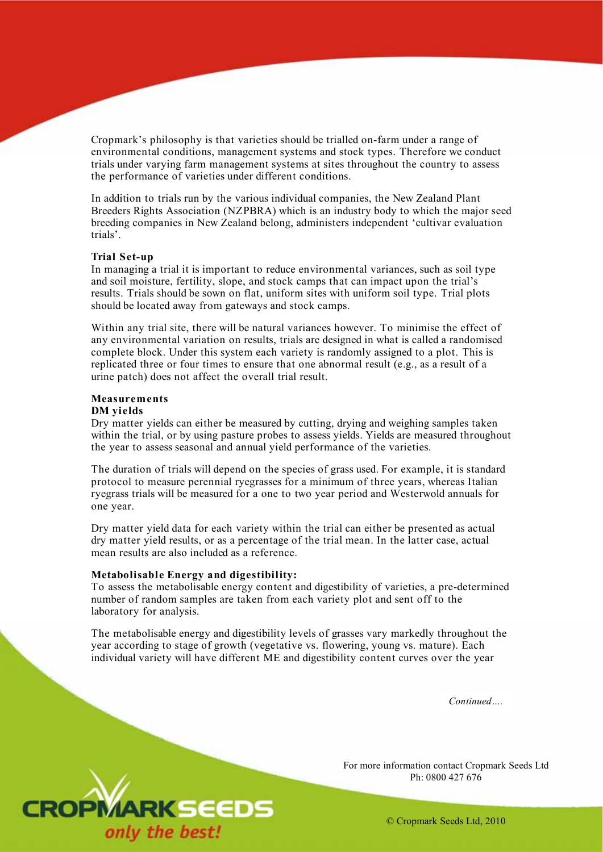Cropmark's philosophy is that varieties should be trialled on-farm under a range of environmental conditions, management systems and stock types. Therefore we conduct trials under varying farm management systems at sites throughout the country to assess the performance of varieties under different conditions.

In addition to trials run by the various individual companies, the New Zealand Plant Breeders Rights Association (NZPBRA) which is an industry body to which the major seed breeding companies in New Zealand belong, administers independent 'cultivar evaluation trials'.

#### **Trial Set-up**

In managing a trial it is important to reduce environmental variances, such as soil type and soil moisture, fertility, slope, and stock camps that can impact upon the trial's results. Trials should be sown on flat, uniform sites with uniform soil type. Trial plots should be located away from gateways and stock camps.

Within any trial site, there will be natural variances however. To minimise the effect of any environmental variation on results, trials are designed in what is called a randomised complete block. Under this system each variety is randomly assigned to a plot. This is replicated three or four times to ensure that one abnormal result (e.g., as a result of a urine patch) does not affect the overall trial result.

## **Measurements**

## **DM yields**

Dry matter yields can either be measured by cutting, drying and weighing samples taken within the trial, or by using pasture probes to assess yields. Yields are measured throughout the year to assess seasonal and annual yield performance of the varieties.

The duration of trials will depend on the species of grass used. For example, it is standard protocol to measure perennial ryegrasses for a minimum of three years, whereas Italian ryegrass trials will be measured for a one to two year period and Westerwold annuals for one year.

Dry matter yield data for each variety within the trial can either be presented as actual dry matter yield results, or as a percentage of the trial mean. In the latter case, actual mean results are also included as a reference.

#### **Metabolisable Energy and digestibility:**

To assess the metabolisable energy content and digestibility of varieties, a pre-determined number of random samples are taken from each variety plot and sent off to the laboratory for analysis.

The metabolisable energy and digestibility levels of grasses vary markedly throughout the year according to stage of growth (vegetative vs. flowering, young vs. mature). Each individual variety will have different ME and digestibility content curves over the year

*Continued….* 

For more information contact Cropmark Seeds Ltd Ph: 0800 427 676

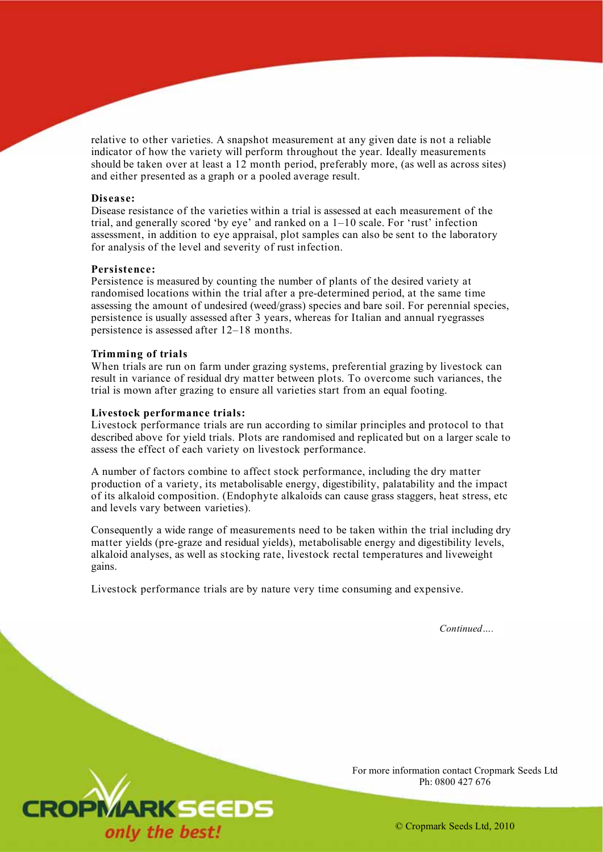relative to other varieties. A snapshot measurement at any given date is not a reliable indicator of how the variety will perform throughout the year. Ideally measurements should be taken over at least a 12 month period, preferably more, (as well as across sites) and either presented as a graph or a pooled average result.

#### **Disease:**

Disease resistance of the varieties within a trial is assessed at each measurement of the trial, and generally scored 'by eye' and ranked on a 1–10 scale. For 'rust' infection assessment, in addition to eye appraisal, plot samples can also be sent to the laboratory for analysis of the level and severity of rust infection.

#### **Persistence:**

Persistence is measured by counting the number of plants of the desired variety at randomised locations within the trial after a pre-determined period, at the same time assessing the amount of undesired (weed/grass) species and bare soil. For perennial species, persistence is usually assessed after 3 years, whereas for Italian and annual ryegrasses persistence is assessed after 12–18 months.

#### **Trimming of trials**

When trials are run on farm under grazing systems, preferential grazing by livestock can result in variance of residual dry matter between plots. To overcome such variances, the trial is mown after grazing to ensure all varieties start from an equal footing.

#### **Livestock performance trials:**

Livestock performance trials are run according to similar principles and protocol to that described above for yield trials. Plots are randomised and replicated but on a larger scale to assess the effect of each variety on livestock performance.

A number of factors combine to affect stock performance, including the dry matter production of a variety, its metabolisable energy, digestibility, palatability and the impact of its alkaloid composition. (Endophyte alkaloids can cause grass staggers, heat stress, etc and levels vary between varieties).

Consequently a wide range of measurements need to be taken within the trial including dry matter yields (pre-graze and residual yields), metabolisable energy and digestibility levels, alkaloid analyses, as well as stocking rate, livestock rectal temperatures and liveweight gains.

Livestock performance trials are by nature very time consuming and expensive.

*Continued….* 



For more information contact Cropmark Seeds Ltd Ph: 0800 427 676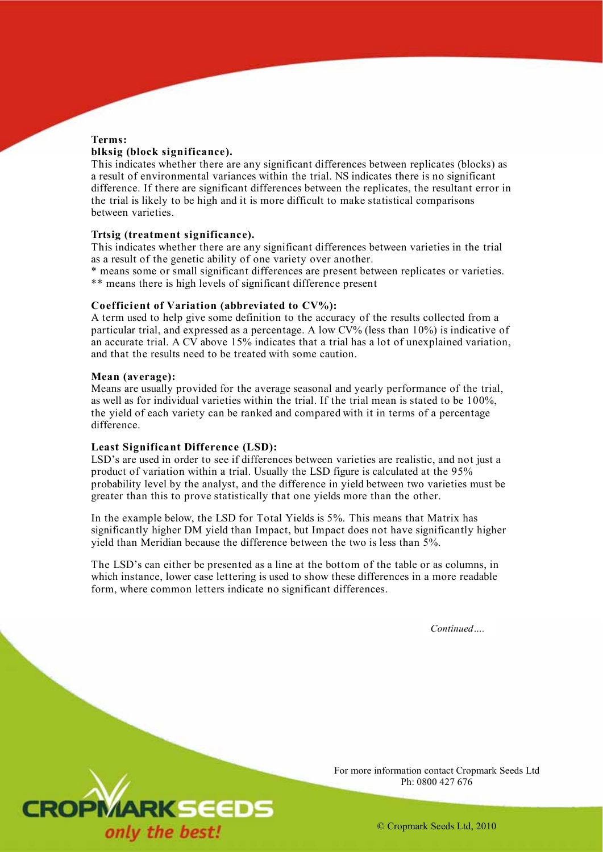## **Terms:**

## **blksig (block significance).**

This indicates whether there are any significant differences between replicates (blocks) as a result of environmental variances within the trial. NS indicates there is no significant difference. If there are significant differences between the replicates, the resultant error in the trial is likely to be high and it is more difficult to make statistical comparisons between varieties.

## **Trtsig (treatment significance).**

This indicates whether there are any significant differences between varieties in the trial as a result of the genetic ability of one variety over another.

\* means some or small significant differences are present between replicates or varieties. \*\* means there is high levels of significant difference present

## **Coefficient of Variation (abbreviated to CV%):**

A term used to help give some definition to the accuracy of the results collected from a particular trial, and expressed as a percentage. A low CV% (less than 10%) is indicative of an accurate trial. A  $CV$  above 15% indicates that a trial has a lot of unexplained variation, and that the results need to be treated with some caution.

## **Mean (average):**

Means are usually provided for the average seasonal and yearly performance of the trial, as well as for individual varieties within the trial. If the trial mean is stated to be 100%, the yield of each variety can be ranked and compared with it in terms of a percentage difference.

## **Least Significant Difference (LSD):**

LSD's are used in order to see if differences between varieties are realistic, and not just a product of variation within a trial. Usually the LSD figure is calculated at the 95% probability level by the analyst, and the difference in yield between two varieties must be greater than this to prove statistically that one yields more than the other.

In the example below, the LSD for Total Yields is 5%. This means that Matrix has significantly higher DM yield than Impact, but Impact does not have significantly higher yield than Meridian because the difference between the two is less than 5%.

The LSD's can either be presented as a line at the bottom of the table or as columns, in which instance, lower case lettering is used to show these differences in a more readable form, where common letters indicate no significant differences.

*Continued….* 



For more information contact Cropmark Seeds Ltd Ph: 0800 427 676